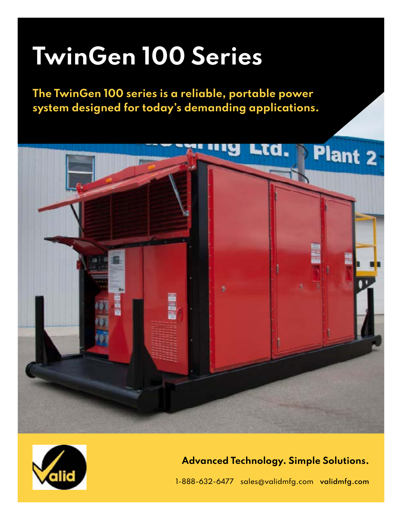# **TwinGen 100 Series**

**The TwinGen 100 series is a reliable, portable power system designed for today's demanding applications.**





## **Advanced Technology. Simple Solutions.**

1-888-632-6477 sales@validmfg.com **[validmfg.com](https://validmfg.com/)**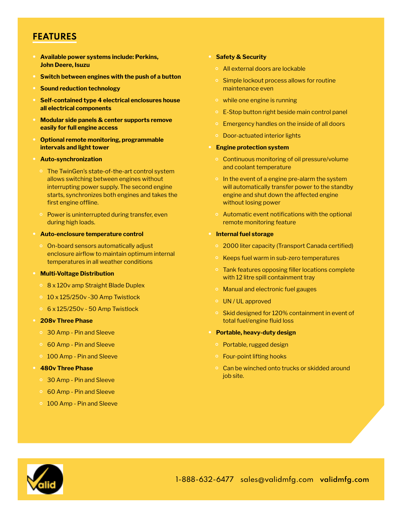## **FEATURES**

- **• Available power systems include: Perkins, John Deere, Isuzu**
- **• Switch between engines with the push of a button**
- **• Sound reduction technology**
- **• Self-contained type 4 electrical enclosures house all electrical components**
- **• Modular side panels & center supports remove easily for full engine access**
- **• Optional remote monitoring, programmable intervals and light tower**
- **• Auto-synchronization** 
	- The TwinGen's state-of-the-art control system allows switching between engines without interrupting power supply. The second engine starts, synchronizes both engines and takes the first engine offline.
	- Power is uninterrupted during transfer, even during high loads.
- **• Auto-enclosure temperature control** 
	- On-board sensors automatically adjust enclosure airflow to maintain optimum internal temperatures in all weather conditions
- **• Multi-Voltage Distribution**
	- 8 x 120v amp Straight Blade Duplex
	- 10 x 125/250v -30 Amp Twistlock
	- 6 x 125/250v 50 Amp Twistlock
- **• 208v Three Phase**
	- 30 Amp Pin and Sleeve
	- 60 Amp Pin and Sleeve
	- 100 Amp Pin and Sleeve
- **• 480v Three Phase**
	- 30 Amp Pin and Sleeve
	- 60 Amp Pin and Sleeve
	- 100 Amp Pin and Sleeve

#### **• Safety & Security**

- All external doors are lockable
- Simple lockout process allows for routine maintenance even
- while one engine is running
- E-Stop button right beside main control panel
- Emergency handles on the inside of all doors
- Door-actuated interior lights
- **• Engine protection system** 
	- Continuous monitoring of oil pressure/volume and coolant temperature
	- In the event of a engine pre-alarm the system will automatically transfer power to the standby engine and shut down the affected engine without losing power
	- Automatic event notifications with the optional remote monitoring feature
- **• Internal fuel storage**
	- 2000 liter capacity (Transport Canada certified)
	- Keeps fuel warm in sub-zero temperatures
	- Tank features opposing filler locations complete with 12 litre spill containment tray
	- Manual and electronic fuel gauges
	- UN / UL approved
	- Skid designed for 120% containment in event of total fuel/engine fluid loss
- **• Portable, heavy-duty design**
	- Portable, rugged design
	- Four-point lifting hooks
	- Can be winched onto trucks or skidded around job site.